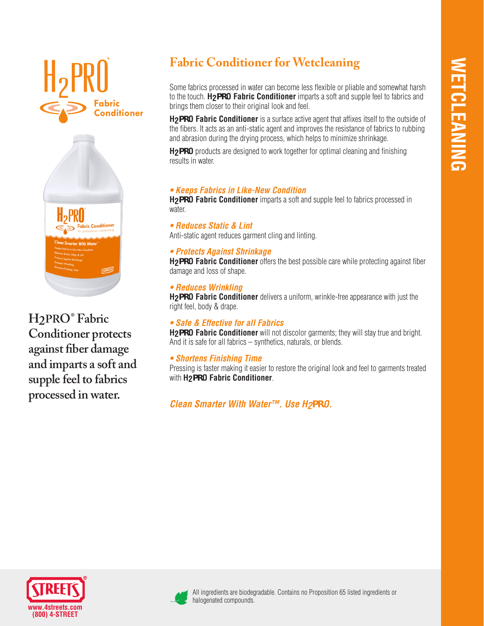



**H2PRO® Fabric Conditioner protects against fiber damage and imparts a soft and supple feel to fabrics processed in water.** 

# **Fabric Conditioner for Wetcleaning**

Some fabrics processed in water can become less flexible or pliable and somewhat harsh to the touch. **H2PRO Fabric Conditioner** imparts a soft and supple feel to fabrics and brings them closer to their original look and feel.

**H2PRO Fabric Conditioner** is a surface active agent that affixes itself to the outside of the fibers. It acts as an anti-static agent and improves the resistance of fabrics to rubbing and abrasion during the drying process, which helps to minimize shrinkage.

**H2PRO** products are designed to work together for optimal cleaning and finishing results in water.

## *• Keeps Fabrics in Like-New Condition*

**H2PRO Fabric Conditioner** imparts a soft and supple feel to fabrics processed in water.

*• Reduces Static & Lint*  Anti-static agent reduces garment cling and linting.

## *• Protects Against Shrinkage*

**H2PRO Fabric Conditioner** offers the best possible care while protecting against fiber damage and loss of shape.

## *• Reduces Wrinkling*

**H2PRO Fabric Conditioner** delivers a uniform, wrinkle-free appearance with just the right feel, body & drape.

## *• Safe & Effective for all Fabrics*

**H2PRO Fabric Conditioner** will not discolor garments; they will stay true and bright. And it is safe for all fabrics – synthetics, naturals, or blends.

## *• Shortens Finishing Time*

Pressing is faster making it easier to restore the original look and feel to garments treated with **H2PRO Fabric Conditioner**.

*Clean Smarter With Water™. Use H2PRO.*





All ingredients are biodegradable. Contains no Proposition 65 listed ingredients or halogenated compounds.